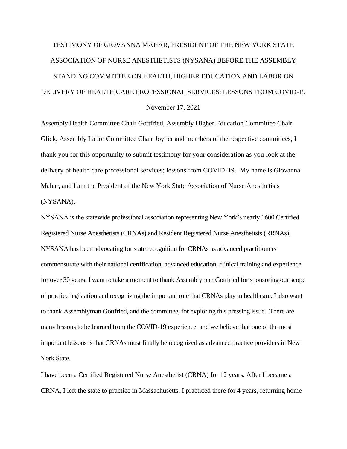# TESTIMONY OF GIOVANNA MAHAR, PRESIDENT OF THE NEW YORK STATE ASSOCIATION OF NURSE ANESTHETISTS (NYSANA) BEFORE THE ASSEMBLY STANDING COMMITTEE ON HEALTH, HIGHER EDUCATION AND LABOR ON DELIVERY OF HEALTH CARE PROFESSIONAL SERVICES; LESSONS FROM COVID-19

## November 17, 2021

Assembly Health Committee Chair Gottfried, Assembly Higher Education Committee Chair Glick, Assembly Labor Committee Chair Joyner and members of the respective committees, I thank you for this opportunity to submit testimony for your consideration as you look at the delivery of health care professional services; lessons from COVID-19. My name is Giovanna Mahar, and I am the President of the New York State Association of Nurse Anesthetists (NYSANA).

NYSANA is the statewide professional association representing New York's nearly 1600 Certified Registered Nurse Anesthetists (CRNAs) and Resident Registered Nurse Anesthetists (RRNAs). NYSANA has been advocating for state recognition for CRNAs as advanced practitioners commensurate with their national certification, advanced education, clinical training and experience for over 30 years. I want to take a moment to thank Assemblyman Gottfried for sponsoring our scope of practice legislation and recognizing the important role that CRNAs play in healthcare. I also want to thank Assemblyman Gottfried, and the committee, for exploring this pressing issue. There are many lessons to be learned from the COVID-19 experience, and we believe that one of the most important lessons is that CRNAs must finally be recognized as advanced practice providers in New York State.

I have been a Certified Registered Nurse Anesthetist (CRNA) for 12 years. After I became a CRNA, I left the state to practice in Massachusetts. I practiced there for 4 years, returning home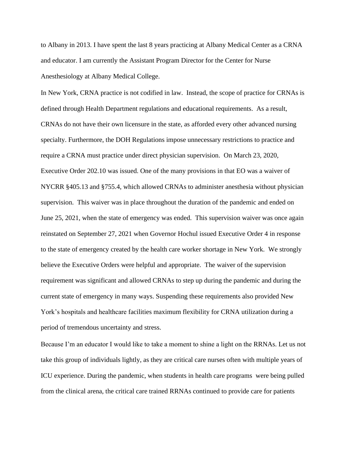to Albany in 2013. I have spent the last 8 years practicing at Albany Medical Center as a CRNA and educator. I am currently the Assistant Program Director for the Center for Nurse Anesthesiology at Albany Medical College.

In New York, CRNA practice is not codified in law. Instead, the scope of practice for CRNAs is defined through Health Department regulations and educational requirements. As a result, CRNAs do not have their own licensure in the state, as afforded every other advanced nursing specialty. Furthermore, the DOH Regulations impose unnecessary restrictions to practice and require a CRNA must practice under direct physician supervision. On March 23, 2020, Executive Order 202.10 was issued. One of the many provisions in that EO was a waiver of NYCRR §405.13 and §755.4, which allowed CRNAs to administer anesthesia without physician supervision. This waiver was in place throughout the duration of the pandemic and ended on June 25, 2021, when the state of emergency was ended. This supervision waiver was once again reinstated on September 27, 2021 when Governor Hochul issued Executive Order 4 in response to the state of emergency created by the health care worker shortage in New York. We strongly believe the Executive Orders were helpful and appropriate. The waiver of the supervision requirement was significant and allowed CRNAs to step up during the pandemic and during the current state of emergency in many ways. Suspending these requirements also provided New York's hospitals and healthcare facilities maximum flexibility for CRNA utilization during a period of tremendous uncertainty and stress.

Because I'm an educator I would like to take a moment to shine a light on the RRNAs. Let us not take this group of individuals lightly, as they are critical care nurses often with multiple years of ICU experience. During the pandemic, when students in health care programs were being pulled from the clinical arena, the critical care trained RRNAs continued to provide care for patients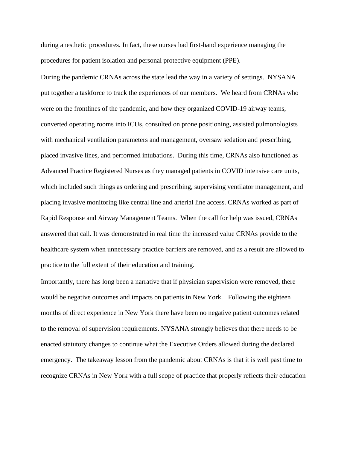during anesthetic procedures. In fact, these nurses had first-hand experience managing the procedures for patient isolation and personal protective equipment (PPE).

During the pandemic CRNAs across the state lead the way in a variety of settings. NYSANA put together a taskforce to track the experiences of our members. We heard from CRNAs who were on the frontlines of the pandemic, and how they organized COVID-19 airway teams, converted operating rooms into ICUs, consulted on prone positioning, assisted pulmonologists with mechanical ventilation parameters and management, oversaw sedation and prescribing, placed invasive lines, and performed intubations. During this time, CRNAs also functioned as Advanced Practice Registered Nurses as they managed patients in COVID intensive care units, which included such things as ordering and prescribing, supervising ventilator management, and placing invasive monitoring like central line and arterial line access. CRNAs worked as part of Rapid Response and Airway Management Teams. When the call for help was issued, CRNAs answered that call. It was demonstrated in real time the increased value CRNAs provide to the healthcare system when unnecessary practice barriers are removed, and as a result are allowed to practice to the full extent of their education and training.

Importantly, there has long been a narrative that if physician supervision were removed, there would be negative outcomes and impacts on patients in New York. Following the eighteen months of direct experience in New York there have been no negative patient outcomes related to the removal of supervision requirements. NYSANA strongly believes that there needs to be enacted statutory changes to continue what the Executive Orders allowed during the declared emergency. The takeaway lesson from the pandemic about CRNAs is that it is well past time to recognize CRNAs in New York with a full scope of practice that properly reflects their education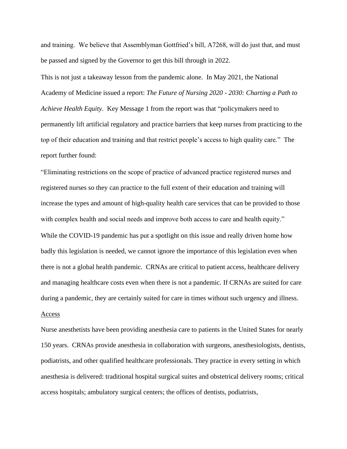and training. We believe that Assemblyman Gottfried's bill, A7268, will do just that, and must be passed and signed by the Governor to get this bill through in 2022.

This is not just a takeaway lesson from the pandemic alone. In May 2021, the National Academy of Medicine issued a report: *The Future of Nursing 2020 - 2030: Charting a Path to Achieve Health Equity*. Key Message 1 from the report was that "policymakers need to permanently lift artificial regulatory and practice barriers that keep nurses from practicing to the top of their education and training and that restrict people's access to high quality care." The report further found:

"Eliminating restrictions on the scope of practice of advanced practice registered nurses and registered nurses so they can practice to the full extent of their education and training will increase the types and amount of high-quality health care services that can be provided to those with complex health and social needs and improve both access to care and health equity." While the COVID-19 pandemic has put a spotlight on this issue and really driven home how badly this legislation is needed, we cannot ignore the importance of this legislation even when there is not a global health pandemic. CRNAs are critical to patient access, healthcare delivery and managing healthcare costs even when there is not a pandemic. If CRNAs are suited for care during a pandemic, they are certainly suited for care in times without such urgency and illness. Access

Nurse anesthetists have been providing anesthesia care to patients in the United States for nearly 150 years. CRNAs provide anesthesia in collaboration with surgeons, anesthesiologists, dentists, podiatrists, and other qualified healthcare professionals. They practice in every setting in which anesthesia is delivered: traditional hospital surgical suites and obstetrical delivery rooms; critical access hospitals; ambulatory surgical centers; the offices of dentists, podiatrists,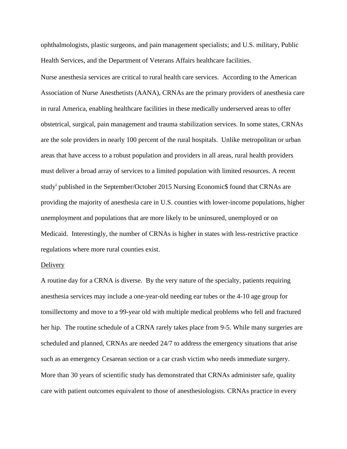ophthalmologists, plastic surgeons, and pain management specialists; and U.S. military, Public Health Services, and the Department of Veterans Affairs healthcare facilities.

Nurse anesthesia services are critical to rural health care services. According to the American Association of Nurse Anesthetists (AANA), CRNAs are the primary providers of anesthesia care in rural America, enabling healthcare facilities in these medically underserved areas to offer obstetrical, surgical, pain management and trauma stabilization services. In some states, CRNAs are the sole providers in nearly 100 percent of the rural hospitals. Unlike metropolitan or urban areas that have access to a robust population and providers in all areas, rural health providers must deliver a broad array of services to a limited population with limited resources. A recent study<sup>i</sup> published in the September/October 2015 Nursing Economic\$ found that CRNAs are providing the majority of anesthesia care in U.S. counties with lower-income populations, higher unemployment and populations that are more likely to be uninsured, unemployed or on Medicaid. Interestingly, the number of CRNAs is higher in states with less-restrictive practice regulations where more rural counties exist.

#### Delivery

A routine day for a CRNA is diverse. By the very nature of the specialty, patients requiring anesthesia services may include a one-year-old needing ear tubes or the 4-10 age group for tonsillectomy and move to a 99-year old with multiple medical problems who fell and fractured her hip. The routine schedule of a CRNA rarely takes place from 9-5. While many surgeries are scheduled and planned, CRNAs are needed 24/7 to address the emergency situations that arise such as an emergency Cesarean section or a car crash victim who needs immediate surgery. More than 30 years of scientific study has demonstrated that CRNAs administer safe, quality care with patient outcomes equivalent to those of anesthesiologists. CRNAs practice in every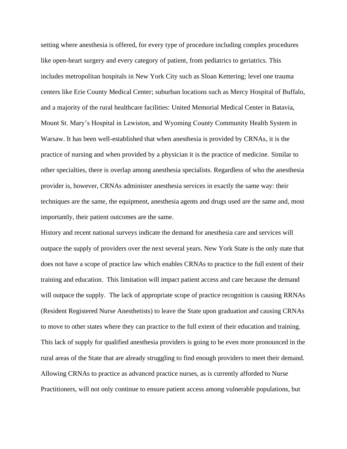setting where anesthesia is offered, for every type of procedure including complex procedures like open-heart surgery and every category of patient, from pediatrics to geriatrics. This includes metropolitan hospitals in New York City such as Sloan Kettering; level one trauma centers like Erie County Medical Center; suburban locations such as Mercy Hospital of Buffalo, and a majority of the rural healthcare facilities: United Memorial Medical Center in Batavia, Mount St. Mary's Hospital in Lewiston, and Wyoming County Community Health System in Warsaw. It has been well-established that when anesthesia is provided by CRNAs, it is the practice of nursing and when provided by a physician it is the practice of medicine. Similar to other specialties, there is overlap among anesthesia specialists. Regardless of who the anesthesia provider is, however, CRNAs administer anesthesia services in exactly the same way: their techniques are the same, the equipment, anesthesia agents and drugs used are the same and, most importantly, their patient outcomes are the same.

History and recent national surveys indicate the demand for anesthesia care and services will outpace the supply of providers over the next several years. New York State is the only state that does not have a scope of practice law which enables CRNAs to practice to the full extent of their training and education. This limitation will impact patient access and care because the demand will outpace the supply. The lack of appropriate scope of practice recognition is causing RRNAs (Resident Registered Nurse Anesthetists) to leave the State upon graduation and causing CRNAs to move to other states where they can practice to the full extent of their education and training. This lack of supply for qualified anesthesia providers is going to be even more pronounced in the rural areas of the State that are already struggling to find enough providers to meet their demand. Allowing CRNAs to practice as advanced practice nurses, as is currently afforded to Nurse Practitioners, will not only continue to ensure patient access among vulnerable populations, but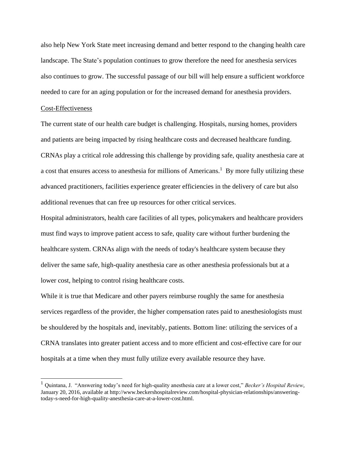also help New York State meet increasing demand and better respond to the changing health care landscape. The State's population continues to grow therefore the need for anesthesia services also continues to grow. The successful passage of our bill will help ensure a sufficient workforce needed to care for an aging population or for the increased demand for anesthesia providers.

### Cost-Effectiveness

The current state of our health care budget is challenging. Hospitals, nursing homes, providers and patients are being impacted by rising healthcare costs and decreased healthcare funding. CRNAs play a critical role addressing this challenge by providing safe, quality anesthesia care at a cost that ensures access to anesthesia for millions of Americans.<sup>1</sup> By more fully utilizing these advanced practitioners, facilities experience greater efficiencies in the delivery of care but also additional revenues that can free up resources for other critical services.

Hospital administrators, health care facilities of all types, policymakers and healthcare providers must find ways to improve patient access to safe, quality care without further burdening the healthcare system. CRNAs align with the needs of today's healthcare system because they deliver the same safe, high-quality anesthesia care as other anesthesia professionals but at a lower cost, helping to control rising healthcare costs.

While it is true that Medicare and other payers reimburse roughly the same for anesthesia services regardless of the provider, the higher compensation rates paid to anesthesiologists must be shouldered by the hospitals and, inevitably, patients. Bottom line: utilizing the services of a CRNA translates into greater patient access and to more efficient and cost-effective care for our hospitals at a time when they must fully utilize every available resource they have.

<sup>1</sup> Quintana, J. "Answering today's need for high-quality anesthesia care at a lower cost," *Becker's Hospital Review*, January 20, 2016, available at http://www.beckershospitalreview.com/hospital-physician-relationships/answeringtoday-s-need-for-high-quality-anesthesia-care-at-a-lower-cost.html.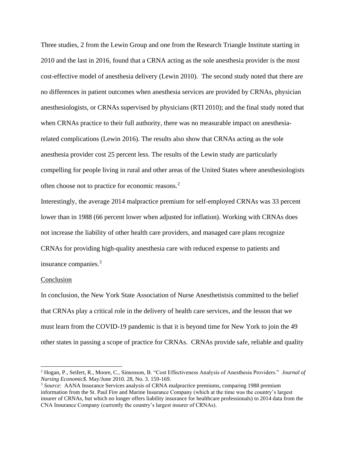Three studies, 2 from the Lewin Group and one from the Research Triangle Institute starting in 2010 and the last in 2016, found that a CRNA acting as the sole anesthesia provider is the most cost-effective model of anesthesia delivery (Lewin 2010). The second study noted that there are no differences in patient outcomes when anesthesia services are provided by CRNAs, physician anesthesiologists, or CRNAs supervised by physicians (RTI 2010); and the final study noted that when CRNAs practice to their full authority, there was no measurable impact on anesthesiarelated complications (Lewin 2016). The results also show that CRNAs acting as the sole anesthesia provider cost 25 percent less. The results of the Lewin study are particularly compelling for people living in rural and other areas of the United States where anesthesiologists often choose not to practice for economic reasons.<sup>2</sup>

Interestingly, the average 2014 malpractice premium for self-employed CRNAs was 33 percent lower than in 1988 (66 percent lower when adjusted for inflation). Working with CRNAs does not increase the liability of other health care providers, and managed care plans recognize CRNAs for providing high-quality anesthesia care with reduced expense to patients and insurance companies.<sup>3</sup>

#### Conclusion

In conclusion, the New York State Association of Nurse Anesthetistsis committed to the belief that CRNAs play a critical role in the delivery of health care services, and the lesson that we must learn from the COVID-19 pandemic is that it is beyond time for New York to join the 49 other states in passing a scope of practice for CRNAs. CRNAs provide safe, reliable and quality

<sup>2</sup> Hogan, P., Seifert, R., Moore, C., Simonson, B. "Cost Effectiveness Analysis of Anesthesia Providers." *Journal of Nursing Economic\$.* May/June 2010. 28, No. 3. 159-169.

<sup>3</sup> *Source*: AANA Insurance Services analysis of CRNA malpractice premiums, comparing 1988 premium information from the St. Paul Fire and Marine Insurance Company (which at the time was the country's largest insurer of CRNAs, but which no longer offers liability insurance for healthcare professionals) to 2014 data from the CNA Insurance Company (currently the country's largest insurer of CRNAs).